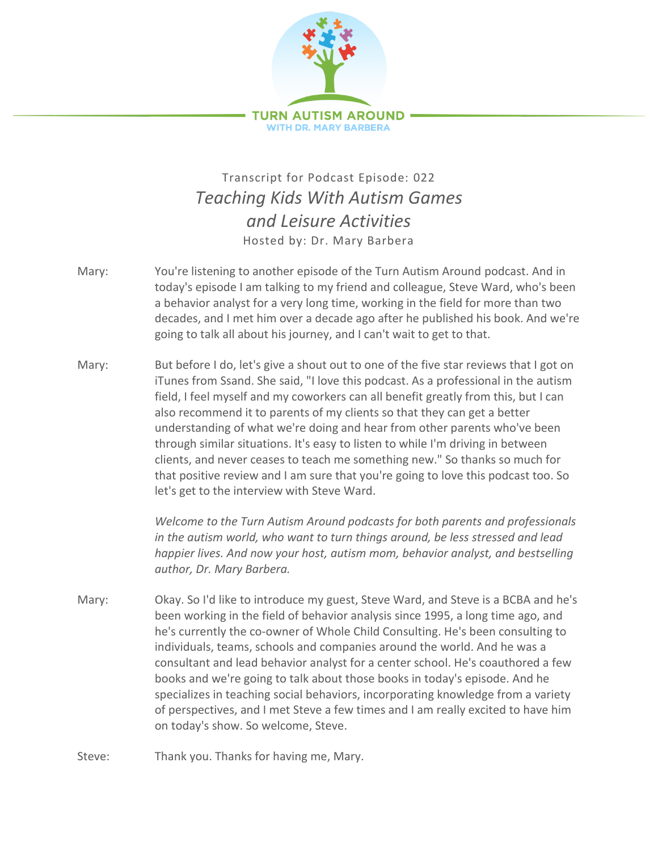

## Transcript for Podcast Episode: 022 *Teaching Kids With Autism Games and Leisure Activities* Hosted by: Dr. Mary Barbera

- Mary: You're listening to another episode of the Turn Autism Around podcast. And in today's episode I am talking to my friend and colleague, Steve Ward, who's been a behavior analyst for a very long time, working in the field for more than two decades, and I met him over a decade ago after he published his book. And we're going to talk all about his journey, and I can't wait to get to that.
- Mary: But before I do, let's give a shout out to one of the five star reviews that I got on iTunes from Ssand. She said, "I love this podcast. As a professional in the autism field, I feel myself and my coworkers can all benefit greatly from this, but I can also recommend it to parents of my clients so that they can get a better understanding of what we're doing and hear from other parents who've been through similar situations. It's easy to listen to while I'm driving in between clients, and never ceases to teach me something new." So thanks so much for that positive review and I am sure that you're going to love this podcast too. So let's get to the interview with Steve Ward.

*Welcome to the Turn Autism Around podcasts for both parents and professionals in the autism world, who want to turn things around, be less stressed and lead happier lives. And now your host, autism mom, behavior analyst, and bestselling author, Dr. Mary Barbera.*

- Mary: Okay. So I'd like to introduce my guest, Steve Ward, and Steve is a BCBA and he's been working in the field of behavior analysis since 1995, a long time ago, and he's currently the co-owner of Whole Child Consulting. He's been consulting to individuals, teams, schools and companies around the world. And he was a consultant and lead behavior analyst for a center school. He's coauthored a few books and we're going to talk about those books in today's episode. And he specializes in teaching social behaviors, incorporating knowledge from a variety of perspectives, and I met Steve a few times and I am really excited to have him on today's show. So welcome, Steve.
- Steve: Thank you. Thanks for having me, Mary.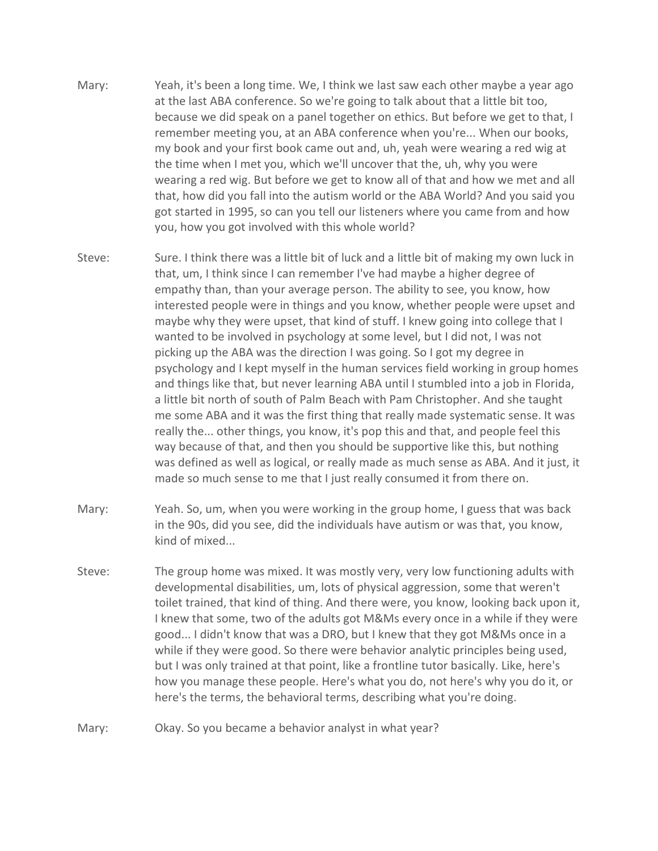- Mary: Yeah, it's been a long time. We, I think we last saw each other maybe a year ago at the last ABA conference. So we're going to talk about that a little bit too, because we did speak on a panel together on ethics. But before we get to that, I remember meeting you, at an ABA conference when you're... When our books, my book and your first book came out and, uh, yeah were wearing a red wig at the time when I met you, which we'll uncover that the, uh, why you were wearing a red wig. But before we get to know all of that and how we met and all that, how did you fall into the autism world or the ABA World? And you said you got started in 1995, so can you tell our listeners where you came from and how you, how you got involved with this whole world?
- Steve: Sure. I think there was a little bit of luck and a little bit of making my own luck in that, um, I think since I can remember I've had maybe a higher degree of empathy than, than your average person. The ability to see, you know, how interested people were in things and you know, whether people were upset and maybe why they were upset, that kind of stuff. I knew going into college that I wanted to be involved in psychology at some level, but I did not, I was not picking up the ABA was the direction I was going. So I got my degree in psychology and I kept myself in the human services field working in group homes and things like that, but never learning ABA until I stumbled into a job in Florida, a little bit north of south of Palm Beach with Pam Christopher. And she taught me some ABA and it was the first thing that really made systematic sense. It was really the... other things, you know, it's pop this and that, and people feel this way because of that, and then you should be supportive like this, but nothing was defined as well as logical, or really made as much sense as ABA. And it just, it made so much sense to me that I just really consumed it from there on.
- Mary: Yeah. So, um, when you were working in the group home, I guess that was back in the 90s, did you see, did the individuals have autism or was that, you know, kind of mixed...
- Steve: The group home was mixed. It was mostly very, very low functioning adults with developmental disabilities, um, lots of physical aggression, some that weren't toilet trained, that kind of thing. And there were, you know, looking back upon it, I knew that some, two of the adults got M&Ms every once in a while if they were good... I didn't know that was a DRO, but I knew that they got M&Ms once in a while if they were good. So there were behavior analytic principles being used, but I was only trained at that point, like a frontline tutor basically. Like, here's how you manage these people. Here's what you do, not here's why you do it, or here's the terms, the behavioral terms, describing what you're doing.
- Mary: Okay. So you became a behavior analyst in what year?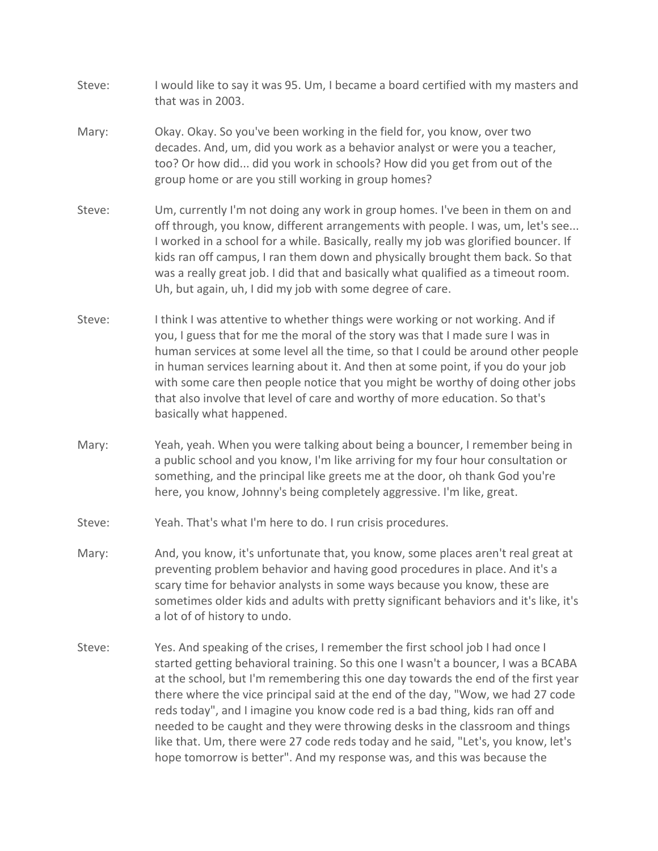- Steve: I would like to say it was 95. Um, I became a board certified with my masters and that was in 2003.
- Mary: Okay. Okay. So you've been working in the field for, you know, over two decades. And, um, did you work as a behavior analyst or were you a teacher, too? Or how did... did you work in schools? How did you get from out of the group home or are you still working in group homes?
- Steve: Um, currently I'm not doing any work in group homes. I've been in them on and off through, you know, different arrangements with people. I was, um, let's see... I worked in a school for a while. Basically, really my job was glorified bouncer. If kids ran off campus, I ran them down and physically brought them back. So that was a really great job. I did that and basically what qualified as a timeout room. Uh, but again, uh, I did my job with some degree of care.
- Steve: I think I was attentive to whether things were working or not working. And if you, I guess that for me the moral of the story was that I made sure I was in human services at some level all the time, so that I could be around other people in human services learning about it. And then at some point, if you do your job with some care then people notice that you might be worthy of doing other jobs that also involve that level of care and worthy of more education. So that's basically what happened.
- Mary: Yeah, yeah. When you were talking about being a bouncer, I remember being in a public school and you know, I'm like arriving for my four hour consultation or something, and the principal like greets me at the door, oh thank God you're here, you know, Johnny's being completely aggressive. I'm like, great.
- Steve: Yeah. That's what I'm here to do. I run crisis procedures.
- Mary: And, you know, it's unfortunate that, you know, some places aren't real great at preventing problem behavior and having good procedures in place. And it's a scary time for behavior analysts in some ways because you know, these are sometimes older kids and adults with pretty significant behaviors and it's like, it's a lot of of history to undo.
- Steve: Yes. And speaking of the crises, I remember the first school job I had once I started getting behavioral training. So this one I wasn't a bouncer, I was a BCABA at the school, but I'm remembering this one day towards the end of the first year there where the vice principal said at the end of the day, "Wow, we had 27 code reds today", and I imagine you know code red is a bad thing, kids ran off and needed to be caught and they were throwing desks in the classroom and things like that. Um, there were 27 code reds today and he said, "Let's, you know, let's hope tomorrow is better". And my response was, and this was because the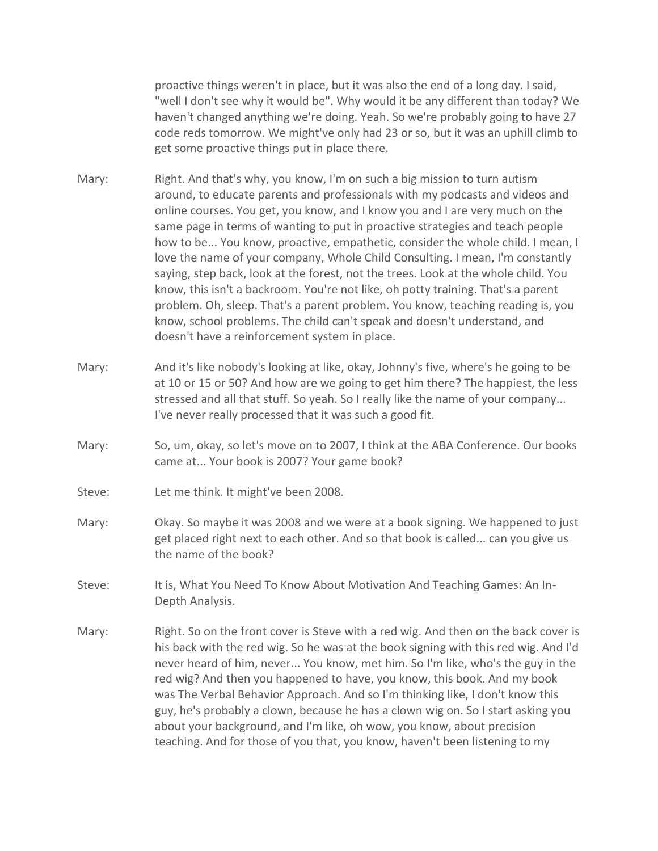proactive things weren't in place, but it was also the end of a long day. I said, "well I don't see why it would be". Why would it be any different than today? We haven't changed anything we're doing. Yeah. So we're probably going to have 27 code reds tomorrow. We might've only had 23 or so, but it was an uphill climb to get some proactive things put in place there.

- Mary: Right. And that's why, you know, I'm on such a big mission to turn autism around, to educate parents and professionals with my podcasts and videos and online courses. You get, you know, and I know you and I are very much on the same page in terms of wanting to put in proactive strategies and teach people how to be... You know, proactive, empathetic, consider the whole child. I mean, I love the name of your company, Whole Child Consulting. I mean, I'm constantly saying, step back, look at the forest, not the trees. Look at the whole child. You know, this isn't a backroom. You're not like, oh potty training. That's a parent problem. Oh, sleep. That's a parent problem. You know, teaching reading is, you know, school problems. The child can't speak and doesn't understand, and doesn't have a reinforcement system in place.
- Mary: And it's like nobody's looking at like, okay, Johnny's five, where's he going to be at 10 or 15 or 50? And how are we going to get him there? The happiest, the less stressed and all that stuff. So yeah. So I really like the name of your company... I've never really processed that it was such a good fit.
- Mary: So, um, okay, so let's move on to 2007, I think at the ABA Conference. Our books came at... Your book is 2007? Your game book?
- Steve: Let me think. It might've been 2008.
- Mary: Okay. So maybe it was 2008 and we were at a book signing. We happened to just get placed right next to each other. And so that book is called... can you give us the name of the book?
- Steve: It is, What You Need To Know About Motivation And Teaching Games: An In-Depth Analysis.
- Mary: Right. So on the front cover is Steve with a red wig. And then on the back cover is his back with the red wig. So he was at the book signing with this red wig. And I'd never heard of him, never... You know, met him. So I'm like, who's the guy in the red wig? And then you happened to have, you know, this book. And my book was The Verbal Behavior Approach. And so I'm thinking like, I don't know this guy, he's probably a clown, because he has a clown wig on. So I start asking you about your background, and I'm like, oh wow, you know, about precision teaching. And for those of you that, you know, haven't been listening to my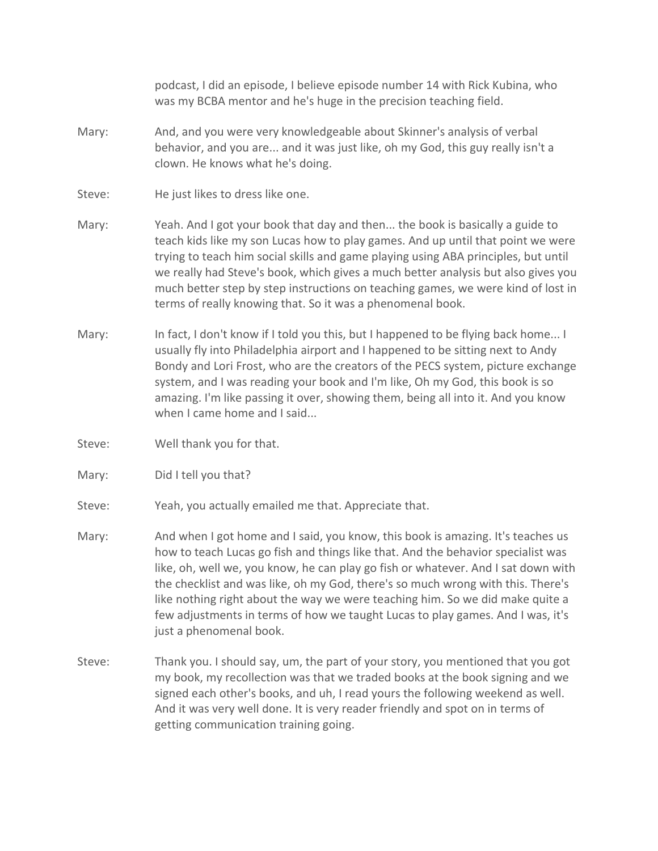podcast, I did an episode, I believe episode number 14 with Rick Kubina, who was my BCBA mentor and he's huge in the precision teaching field.

- Mary: And, and you were very knowledgeable about Skinner's analysis of verbal behavior, and you are... and it was just like, oh my God, this guy really isn't a clown. He knows what he's doing.
- Steve: He just likes to dress like one.
- Mary: Yeah. And I got your book that day and then... the book is basically a guide to teach kids like my son Lucas how to play games. And up until that point we were trying to teach him social skills and game playing using ABA principles, but until we really had Steve's book, which gives a much better analysis but also gives you much better step by step instructions on teaching games, we were kind of lost in terms of really knowing that. So it was a phenomenal book.
- Mary: In fact, I don't know if I told you this, but I happened to be flying back home... I usually fly into Philadelphia airport and I happened to be sitting next to Andy Bondy and Lori Frost, who are the creators of the PECS system, picture exchange system, and I was reading your book and I'm like, Oh my God, this book is so amazing. I'm like passing it over, showing them, being all into it. And you know when I came home and I said...
- Steve: Well thank you for that.
- Mary: Did I tell you that?
- Steve: Yeah, you actually emailed me that. Appreciate that.
- Mary: And when I got home and I said, you know, this book is amazing. It's teaches us how to teach Lucas go fish and things like that. And the behavior specialist was like, oh, well we, you know, he can play go fish or whatever. And I sat down with the checklist and was like, oh my God, there's so much wrong with this. There's like nothing right about the way we were teaching him. So we did make quite a few adjustments in terms of how we taught Lucas to play games. And I was, it's just a phenomenal book.
- Steve: Thank you. I should say, um, the part of your story, you mentioned that you got my book, my recollection was that we traded books at the book signing and we signed each other's books, and uh, I read yours the following weekend as well. And it was very well done. It is very reader friendly and spot on in terms of getting communication training going.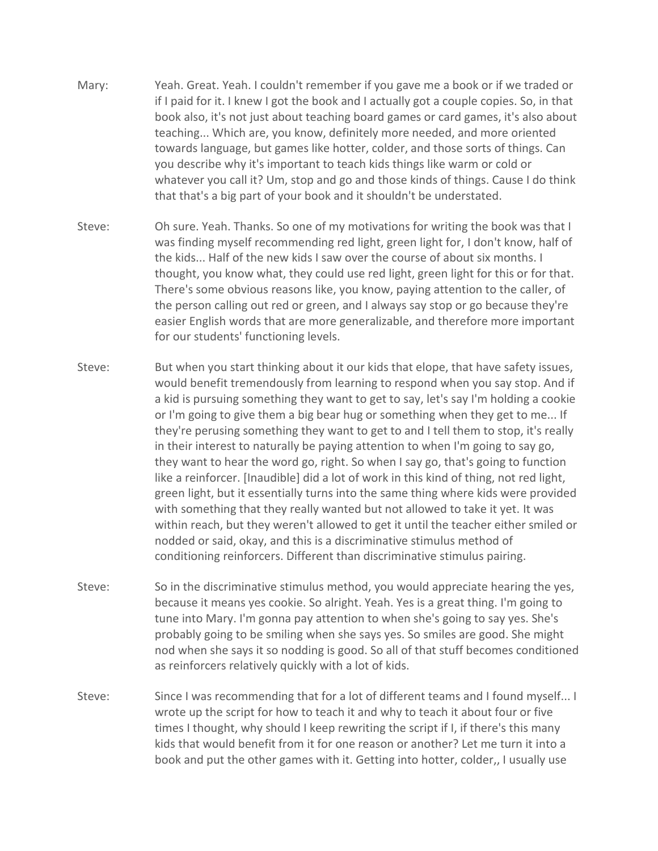- Mary: Yeah. Great. Yeah. I couldn't remember if you gave me a book or if we traded or if I paid for it. I knew I got the book and I actually got a couple copies. So, in that book also, it's not just about teaching board games or card games, it's also about teaching... Which are, you know, definitely more needed, and more oriented towards language, but games like hotter, colder, and those sorts of things. Can you describe why it's important to teach kids things like warm or cold or whatever you call it? Um, stop and go and those kinds of things. Cause I do think that that's a big part of your book and it shouldn't be understated.
- Steve: Oh sure. Yeah. Thanks. So one of my motivations for writing the book was that I was finding myself recommending red light, green light for, I don't know, half of the kids... Half of the new kids I saw over the course of about six months. I thought, you know what, they could use red light, green light for this or for that. There's some obvious reasons like, you know, paying attention to the caller, of the person calling out red or green, and I always say stop or go because they're easier English words that are more generalizable, and therefore more important for our students' functioning levels.
- Steve: But when you start thinking about it our kids that elope, that have safety issues, would benefit tremendously from learning to respond when you say stop. And if a kid is pursuing something they want to get to say, let's say I'm holding a cookie or I'm going to give them a big bear hug or something when they get to me... If they're perusing something they want to get to and I tell them to stop, it's really in their interest to naturally be paying attention to when I'm going to say go, they want to hear the word go, right. So when I say go, that's going to function like a reinforcer. [Inaudible] did a lot of work in this kind of thing, not red light, green light, but it essentially turns into the same thing where kids were provided with something that they really wanted but not allowed to take it yet. It was within reach, but they weren't allowed to get it until the teacher either smiled or nodded or said, okay, and this is a discriminative stimulus method of conditioning reinforcers. Different than discriminative stimulus pairing.
- Steve: So in the discriminative stimulus method, you would appreciate hearing the yes, because it means yes cookie. So alright. Yeah. Yes is a great thing. I'm going to tune into Mary. I'm gonna pay attention to when she's going to say yes. She's probably going to be smiling when she says yes. So smiles are good. She might nod when she says it so nodding is good. So all of that stuff becomes conditioned as reinforcers relatively quickly with a lot of kids.
- Steve: Since I was recommending that for a lot of different teams and I found myself... I wrote up the script for how to teach it and why to teach it about four or five times I thought, why should I keep rewriting the script if I, if there's this many kids that would benefit from it for one reason or another? Let me turn it into a book and put the other games with it. Getting into hotter, colder,, I usually use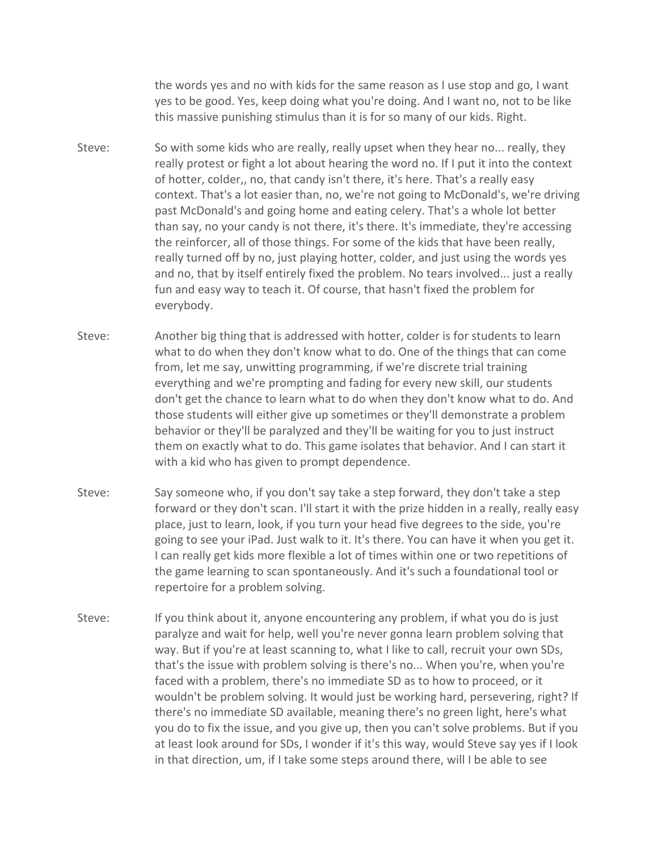the words yes and no with kids for the same reason as I use stop and go, I want yes to be good. Yes, keep doing what you're doing. And I want no, not to be like this massive punishing stimulus than it is for so many of our kids. Right.

- Steve: So with some kids who are really, really upset when they hear no... really, they really protest or fight a lot about hearing the word no. If I put it into the context of hotter, colder,, no, that candy isn't there, it's here. That's a really easy context. That's a lot easier than, no, we're not going to McDonald's, we're driving past McDonald's and going home and eating celery. That's a whole lot better than say, no your candy is not there, it's there. It's immediate, they're accessing the reinforcer, all of those things. For some of the kids that have been really, really turned off by no, just playing hotter, colder, and just using the words yes and no, that by itself entirely fixed the problem. No tears involved... just a really fun and easy way to teach it. Of course, that hasn't fixed the problem for everybody.
- Steve: Another big thing that is addressed with hotter, colder is for students to learn what to do when they don't know what to do. One of the things that can come from, let me say, unwitting programming, if we're discrete trial training everything and we're prompting and fading for every new skill, our students don't get the chance to learn what to do when they don't know what to do. And those students will either give up sometimes or they'll demonstrate a problem behavior or they'll be paralyzed and they'll be waiting for you to just instruct them on exactly what to do. This game isolates that behavior. And I can start it with a kid who has given to prompt dependence.
- Steve: Say someone who, if you don't say take a step forward, they don't take a step forward or they don't scan. I'll start it with the prize hidden in a really, really easy place, just to learn, look, if you turn your head five degrees to the side, you're going to see your iPad. Just walk to it. It's there. You can have it when you get it. I can really get kids more flexible a lot of times within one or two repetitions of the game learning to scan spontaneously. And it's such a foundational tool or repertoire for a problem solving.
- Steve: If you think about it, anyone encountering any problem, if what you do is just paralyze and wait for help, well you're never gonna learn problem solving that way. But if you're at least scanning to, what I like to call, recruit your own SDs, that's the issue with problem solving is there's no... When you're, when you're faced with a problem, there's no immediate SD as to how to proceed, or it wouldn't be problem solving. It would just be working hard, persevering, right? If there's no immediate SD available, meaning there's no green light, here's what you do to fix the issue, and you give up, then you can't solve problems. But if you at least look around for SDs, I wonder if it's this way, would Steve say yes if I look in that direction, um, if I take some steps around there, will I be able to see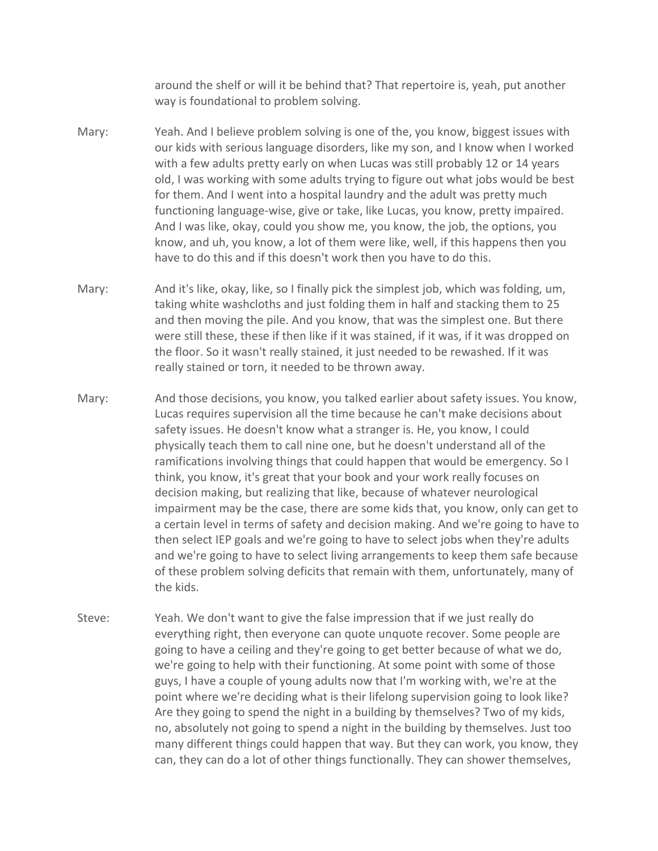around the shelf or will it be behind that? That repertoire is, yeah, put another way is foundational to problem solving.

- Mary: Yeah. And I believe problem solving is one of the, you know, biggest issues with our kids with serious language disorders, like my son, and I know when I worked with a few adults pretty early on when Lucas was still probably 12 or 14 years old, I was working with some adults trying to figure out what jobs would be best for them. And I went into a hospital laundry and the adult was pretty much functioning language-wise, give or take, like Lucas, you know, pretty impaired. And I was like, okay, could you show me, you know, the job, the options, you know, and uh, you know, a lot of them were like, well, if this happens then you have to do this and if this doesn't work then you have to do this.
- Mary: And it's like, okay, like, so I finally pick the simplest job, which was folding, um, taking white washcloths and just folding them in half and stacking them to 25 and then moving the pile. And you know, that was the simplest one. But there were still these, these if then like if it was stained, if it was, if it was dropped on the floor. So it wasn't really stained, it just needed to be rewashed. If it was really stained or torn, it needed to be thrown away.
- Mary: And those decisions, you know, you talked earlier about safety issues. You know, Lucas requires supervision all the time because he can't make decisions about safety issues. He doesn't know what a stranger is. He, you know, I could physically teach them to call nine one, but he doesn't understand all of the ramifications involving things that could happen that would be emergency. So I think, you know, it's great that your book and your work really focuses on decision making, but realizing that like, because of whatever neurological impairment may be the case, there are some kids that, you know, only can get to a certain level in terms of safety and decision making. And we're going to have to then select IEP goals and we're going to have to select jobs when they're adults and we're going to have to select living arrangements to keep them safe because of these problem solving deficits that remain with them, unfortunately, many of the kids.
- Steve: Yeah. We don't want to give the false impression that if we just really do everything right, then everyone can quote unquote recover. Some people are going to have a ceiling and they're going to get better because of what we do, we're going to help with their functioning. At some point with some of those guys, I have a couple of young adults now that I'm working with, we're at the point where we're deciding what is their lifelong supervision going to look like? Are they going to spend the night in a building by themselves? Two of my kids, no, absolutely not going to spend a night in the building by themselves. Just too many different things could happen that way. But they can work, you know, they can, they can do a lot of other things functionally. They can shower themselves,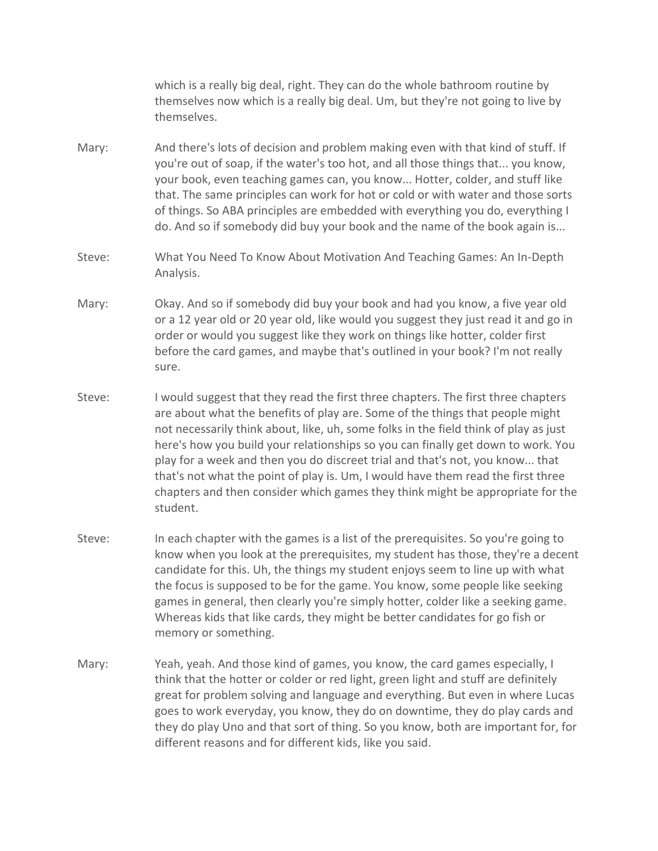which is a really big deal, right. They can do the whole bathroom routine by themselves now which is a really big deal. Um, but they're not going to live by themselves.

- Mary: And there's lots of decision and problem making even with that kind of stuff. If you're out of soap, if the water's too hot, and all those things that... you know, your book, even teaching games can, you know... Hotter, colder, and stuff like that. The same principles can work for hot or cold or with water and those sorts of things. So ABA principles are embedded with everything you do, everything I do. And so if somebody did buy your book and the name of the book again is...
- Steve: What You Need To Know About Motivation And Teaching Games: An In-Depth Analysis.
- Mary: Okay. And so if somebody did buy your book and had you know, a five year old or a 12 year old or 20 year old, like would you suggest they just read it and go in order or would you suggest like they work on things like hotter, colder first before the card games, and maybe that's outlined in your book? I'm not really sure.
- Steve: I would suggest that they read the first three chapters. The first three chapters are about what the benefits of play are. Some of the things that people might not necessarily think about, like, uh, some folks in the field think of play as just here's how you build your relationships so you can finally get down to work. You play for a week and then you do discreet trial and that's not, you know... that that's not what the point of play is. Um, I would have them read the first three chapters and then consider which games they think might be appropriate for the student.
- Steve: In each chapter with the games is a list of the prerequisites. So you're going to know when you look at the prerequisites, my student has those, they're a decent candidate for this. Uh, the things my student enjoys seem to line up with what the focus is supposed to be for the game. You know, some people like seeking games in general, then clearly you're simply hotter, colder like a seeking game. Whereas kids that like cards, they might be better candidates for go fish or memory or something.
- Mary: Yeah, yeah. And those kind of games, you know, the card games especially, I think that the hotter or colder or red light, green light and stuff are definitely great for problem solving and language and everything. But even in where Lucas goes to work everyday, you know, they do on downtime, they do play cards and they do play Uno and that sort of thing. So you know, both are important for, for different reasons and for different kids, like you said.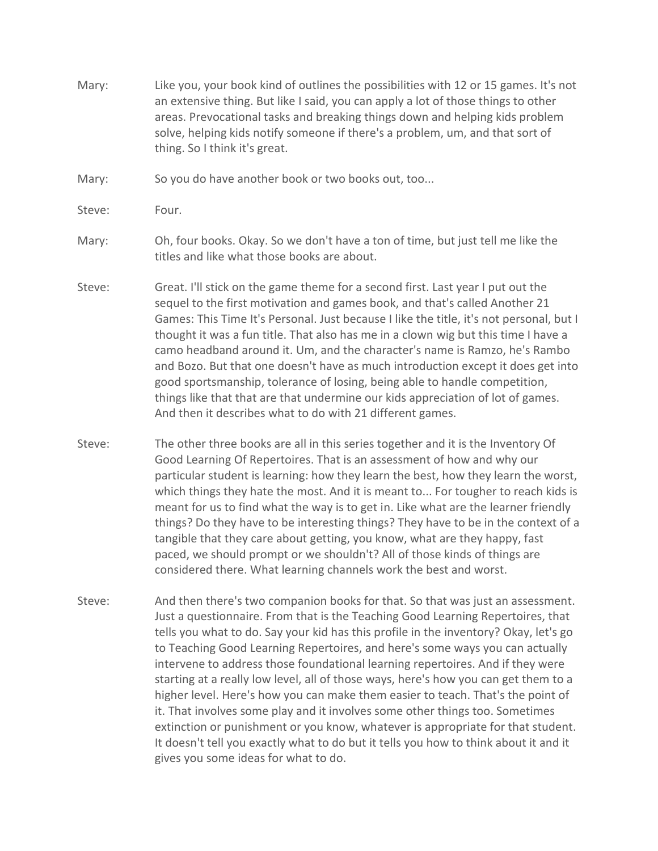- Mary: Like you, your book kind of outlines the possibilities with 12 or 15 games. It's not an extensive thing. But like I said, you can apply a lot of those things to other areas. Prevocational tasks and breaking things down and helping kids problem solve, helping kids notify someone if there's a problem, um, and that sort of thing. So I think it's great.
- Mary: So you do have another book or two books out, too...
- Steve: Four.
- Mary: Oh, four books. Okay. So we don't have a ton of time, but just tell me like the titles and like what those books are about.
- Steve: Great. I'll stick on the game theme for a second first. Last year I put out the sequel to the first motivation and games book, and that's called Another 21 Games: This Time It's Personal. Just because I like the title, it's not personal, but I thought it was a fun title. That also has me in a clown wig but this time I have a camo headband around it. Um, and the character's name is Ramzo, he's Rambo and Bozo. But that one doesn't have as much introduction except it does get into good sportsmanship, tolerance of losing, being able to handle competition, things like that that are that undermine our kids appreciation of lot of games. And then it describes what to do with 21 different games.
- Steve: The other three books are all in this series together and it is the Inventory Of Good Learning Of Repertoires. That is an assessment of how and why our particular student is learning: how they learn the best, how they learn the worst, which things they hate the most. And it is meant to... For tougher to reach kids is meant for us to find what the way is to get in. Like what are the learner friendly things? Do they have to be interesting things? They have to be in the context of a tangible that they care about getting, you know, what are they happy, fast paced, we should prompt or we shouldn't? All of those kinds of things are considered there. What learning channels work the best and worst.
- Steve: And then there's two companion books for that. So that was just an assessment. Just a questionnaire. From that is the Teaching Good Learning Repertoires, that tells you what to do. Say your kid has this profile in the inventory? Okay, let's go to Teaching Good Learning Repertoires, and here's some ways you can actually intervene to address those foundational learning repertoires. And if they were starting at a really low level, all of those ways, here's how you can get them to a higher level. Here's how you can make them easier to teach. That's the point of it. That involves some play and it involves some other things too. Sometimes extinction or punishment or you know, whatever is appropriate for that student. It doesn't tell you exactly what to do but it tells you how to think about it and it gives you some ideas for what to do.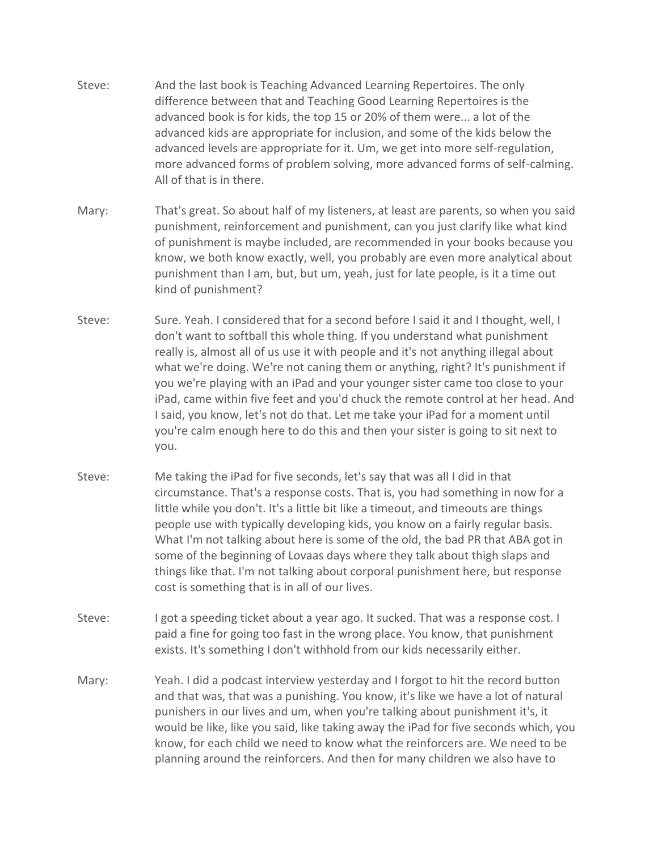- Steve: And the last book is Teaching Advanced Learning Repertoires. The only difference between that and Teaching Good Learning Repertoires is the advanced book is for kids, the top 15 or 20% of them were... a lot of the advanced kids are appropriate for inclusion, and some of the kids below the advanced levels are appropriate for it. Um, we get into more self-regulation, more advanced forms of problem solving, more advanced forms of self-calming. All of that is in there.
- Mary: That's great. So about half of my listeners, at least are parents, so when you said punishment, reinforcement and punishment, can you just clarify like what kind of punishment is maybe included, are recommended in your books because you know, we both know exactly, well, you probably are even more analytical about punishment than I am, but, but um, yeah, just for late people, is it a time out kind of punishment?
- Steve: Sure. Yeah. I considered that for a second before I said it and I thought, well, I don't want to softball this whole thing. If you understand what punishment really is, almost all of us use it with people and it's not anything illegal about what we're doing. We're not caning them or anything, right? It's punishment if you we're playing with an iPad and your younger sister came too close to your iPad, came within five feet and you'd chuck the remote control at her head. And I said, you know, let's not do that. Let me take your iPad for a moment until you're calm enough here to do this and then your sister is going to sit next to you.
- Steve: Me taking the iPad for five seconds, let's say that was all I did in that circumstance. That's a response costs. That is, you had something in now for a little while you don't. It's a little bit like a timeout, and timeouts are things people use with typically developing kids, you know on a fairly regular basis. What I'm not talking about here is some of the old, the bad PR that ABA got in some of the beginning of Lovaas days where they talk about thigh slaps and things like that. I'm not talking about corporal punishment here, but response cost is something that is in all of our lives.
- Steve: I got a speeding ticket about a year ago. It sucked. That was a response cost. I paid a fine for going too fast in the wrong place. You know, that punishment exists. It's something I don't withhold from our kids necessarily either.
- Mary: Yeah. I did a podcast interview yesterday and I forgot to hit the record button and that was, that was a punishing. You know, it's like we have a lot of natural punishers in our lives and um, when you're talking about punishment it's, it would be like, like you said, like taking away the iPad for five seconds which, you know, for each child we need to know what the reinforcers are. We need to be planning around the reinforcers. And then for many children we also have to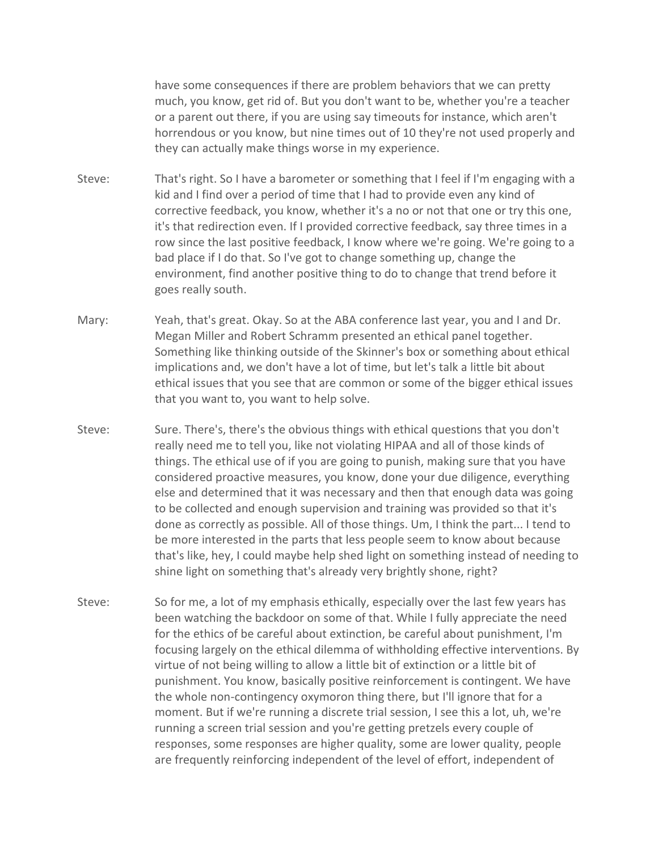have some consequences if there are problem behaviors that we can pretty much, you know, get rid of. But you don't want to be, whether you're a teacher or a parent out there, if you are using say timeouts for instance, which aren't horrendous or you know, but nine times out of 10 they're not used properly and they can actually make things worse in my experience.

- Steve: That's right. So I have a barometer or something that I feel if I'm engaging with a kid and I find over a period of time that I had to provide even any kind of corrective feedback, you know, whether it's a no or not that one or try this one, it's that redirection even. If I provided corrective feedback, say three times in a row since the last positive feedback, I know where we're going. We're going to a bad place if I do that. So I've got to change something up, change the environment, find another positive thing to do to change that trend before it goes really south.
- Mary: Yeah, that's great. Okay. So at the ABA conference last year, you and I and Dr. Megan Miller and Robert Schramm presented an ethical panel together. Something like thinking outside of the Skinner's box or something about ethical implications and, we don't have a lot of time, but let's talk a little bit about ethical issues that you see that are common or some of the bigger ethical issues that you want to, you want to help solve.
- Steve: Sure. There's, there's the obvious things with ethical questions that you don't really need me to tell you, like not violating HIPAA and all of those kinds of things. The ethical use of if you are going to punish, making sure that you have considered proactive measures, you know, done your due diligence, everything else and determined that it was necessary and then that enough data was going to be collected and enough supervision and training was provided so that it's done as correctly as possible. All of those things. Um, I think the part... I tend to be more interested in the parts that less people seem to know about because that's like, hey, I could maybe help shed light on something instead of needing to shine light on something that's already very brightly shone, right?
- Steve: So for me, a lot of my emphasis ethically, especially over the last few years has been watching the backdoor on some of that. While I fully appreciate the need for the ethics of be careful about extinction, be careful about punishment, I'm focusing largely on the ethical dilemma of withholding effective interventions. By virtue of not being willing to allow a little bit of extinction or a little bit of punishment. You know, basically positive reinforcement is contingent. We have the whole non-contingency oxymoron thing there, but I'll ignore that for a moment. But if we're running a discrete trial session, I see this a lot, uh, we're running a screen trial session and you're getting pretzels every couple of responses, some responses are higher quality, some are lower quality, people are frequently reinforcing independent of the level of effort, independent of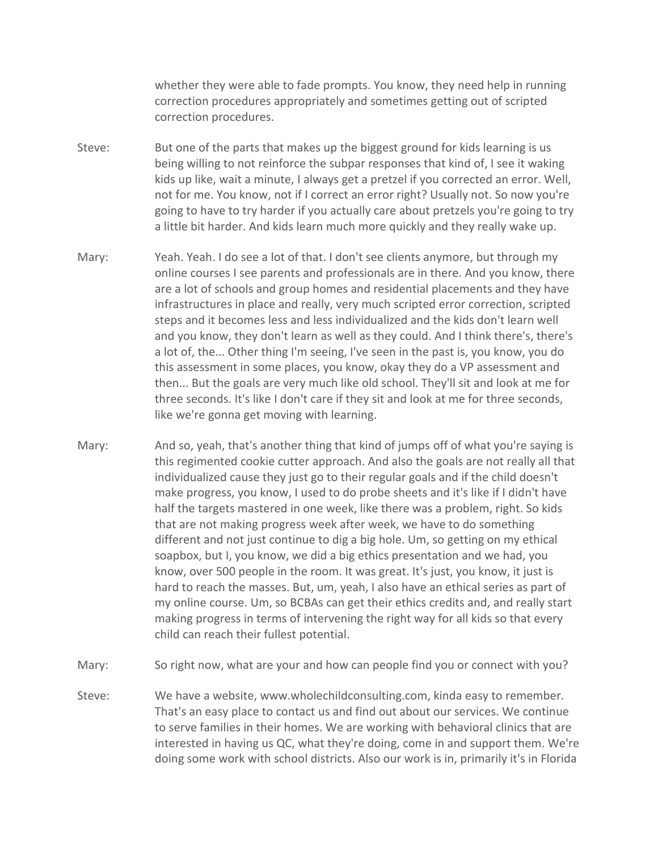whether they were able to fade prompts. You know, they need help in running correction procedures appropriately and sometimes getting out of scripted correction procedures.

- Steve: But one of the parts that makes up the biggest ground for kids learning is us being willing to not reinforce the subpar responses that kind of, I see it waking kids up like, wait a minute, I always get a pretzel if you corrected an error. Well, not for me. You know, not if I correct an error right? Usually not. So now you're going to have to try harder if you actually care about pretzels you're going to try a little bit harder. And kids learn much more quickly and they really wake up.
- Mary: Yeah. Yeah. I do see a lot of that. I don't see clients anymore, but through my online courses I see parents and professionals are in there. And you know, there are a lot of schools and group homes and residential placements and they have infrastructures in place and really, very much scripted error correction, scripted steps and it becomes less and less individualized and the kids don't learn well and you know, they don't learn as well as they could. And I think there's, there's a lot of, the... Other thing I'm seeing, I've seen in the past is, you know, you do this assessment in some places, you know, okay they do a VP assessment and then... But the goals are very much like old school. They'll sit and look at me for three seconds. It's like I don't care if they sit and look at me for three seconds, like we're gonna get moving with learning.
- Mary: And so, yeah, that's another thing that kind of jumps off of what you're saying is this regimented cookie cutter approach. And also the goals are not really all that individualized cause they just go to their regular goals and if the child doesn't make progress, you know, I used to do probe sheets and it's like if I didn't have half the targets mastered in one week, like there was a problem, right. So kids that are not making progress week after week, we have to do something different and not just continue to dig a big hole. Um, so getting on my ethical soapbox, but I, you know, we did a big ethics presentation and we had, you know, over 500 people in the room. It was great. It's just, you know, it just is hard to reach the masses. But, um, yeah, I also have an ethical series as part of my online course. Um, so BCBAs can get their ethics credits and, and really start making progress in terms of intervening the right way for all kids so that every child can reach their fullest potential.
- Mary: So right now, what are your and how can people find you or connect with you?
- Steve: We have a website, www.wholechildconsulting.com, kinda easy to remember. That's an easy place to contact us and find out about our services. We continue to serve families in their homes. We are working with behavioral clinics that are interested in having us QC, what they're doing, come in and support them. We're doing some work with school districts. Also our work is in, primarily it's in Florida